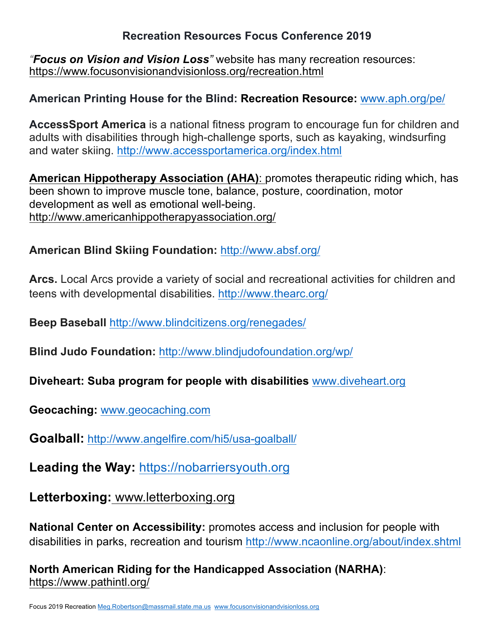#### **Recreation Resources Focus Conference 2019**

*"Focus on Vision and Vision Loss"* website has many recreation resources: https://www.focusonvisionandvisionloss.org/recreation.html

#### **American Printing House for the Blind: Recreation Resource:** www.aph.org/pe/

**AccessSport America** is a national fitness program to encourage fun for children and adults with disabilities through high-challenge sports, such as kayaking, windsurfing and water skiing. http://www.accessportamerica.org/index.html

**American Hippotherapy Association (AHA)**: promotes therapeutic riding which, has been shown to improve muscle tone, balance, posture, coordination, motor development as well as emotional well-being. http://www.americanhippotherapyassociation.org/

#### **American Blind Skiing Foundation:** http://www.absf.org/

**Arcs.** Local Arcs provide a variety of social and recreational activities for children and teens with developmental disabilities. http://www.thearc.org/

**Beep Baseball** http://www.blindcitizens.org/renegades/

**Blind Judo Foundation:** http://www.blindjudofoundation.org/wp/

**Diveheart: Suba program for people with disabilities** www.diveheart.org

**Geocaching:** www.geocaching.com

**Goalball:** http://www.angelfire.com/hi5/usa-goalball/

**Leading the Way:** https://nobarriersyouth.org

**Letterboxing:** www.letterboxing.org

**National Center on Accessibility:** promotes access and inclusion for people with disabilities in parks, recreation and tourism http://www.ncaonline.org/about/index.shtml

**North American Riding for the Handicapped Association (NARHA)**: https://www.pathintl.org/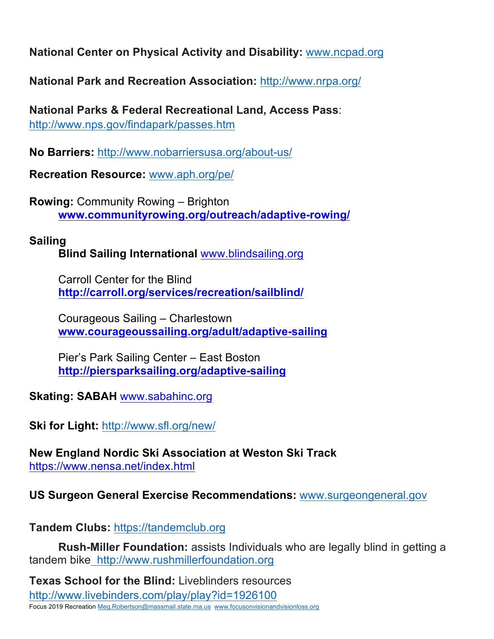**National Center on Physical Activity and Disability:** www.ncpad.org

**National Park and Recreation Association:** http://www.nrpa.org/

**National Parks & Federal Recreational Land, Access Pass**: http://www.nps.gov/findapark/passes.htm

**No Barriers:** http://www.nobarriersusa.org/about-us/

**Recreation Resource:** www.aph.org/pe/

**Rowing:** Community Rowing – Brighton **www.communityrowing.org/outreach/adaptive-rowing/**

## **Sailing**

**Blind Sailing International** www.blindsailing.org

Carroll Center for the Blind **http://carroll.org/services/recreation/sailblind/**

Courageous Sailing – Charlestown **www.courageoussailing.org/adult/adaptive-sailing**

Pier's Park Sailing Center – East Boston **http://piersparksailing.org/adaptive-sailing**

**Skating: SABAH** www.sabahinc.org

**Ski for Light:** http://www.sfl.org/new/

**New England Nordic Ski Association at Weston Ski Track** https://www.nensa.net/index.html

## **US Surgeon General Exercise Recommendations:** www.surgeongeneral.gov

**Tandem Clubs:** https://tandemclub.org

**Rush-Miller Foundation:** assists Individuals who are legally blind in getting a tandem bike http://www.rushmillerfoundation.org

Focus 2019 Recreation Meg.Robertson@massmail.state.ma.us www.focusonvisionandvisionloss.org **Texas School for the Blind:** Liveblinders resources http://www.livebinders.com/play/play?id=1926100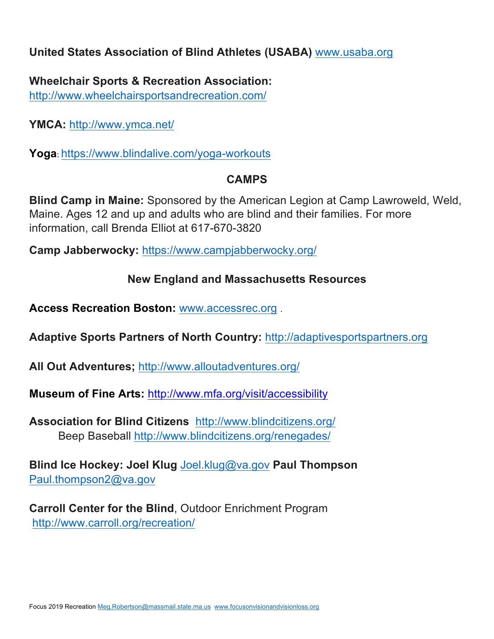## **United States Association of Blind Athletes (USABA)** www.usaba.org

**Wheelchair Sports & Recreation Association:** http://www.wheelchairsportsandrecreation.com/

**YMCA:** http://www.ymca.net/

Yoga: https://www.blindalive.com/yoga-workouts

## **CAMPS**

**Blind Camp in Maine:** Sponsored by the American Legion at Camp Lawroweld, Weld, Maine. Ages 12 and up and adults who are blind and their families. For more information, call Brenda Elliot at 617-670-3820

**Camp Jabberwocky:** https://www.campjabberwocky.org/

# **New England and Massachusetts Resources**

**Access Recreation Boston:** www.accessrec.org .

**Adaptive Sports Partners of North Country:** http://adaptivesportspartners.org

**All Out Adventures;** http://www.alloutadventures.org/

**Museum of Fine Arts:** http://www.mfa.org/visit/accessibility

**Association for Blind Citizens** http://www.blindcitizens.org/ Beep Baseball http://www.blindcitizens.org/renegades/

**Blind Ice Hockey: Joel Klug** Joel.klug@va.gov **Paul Thompson** Paul.thompson2@va.gov

**Carroll Center for the Blind**, Outdoor Enrichment Program http://www.carroll.org/recreation/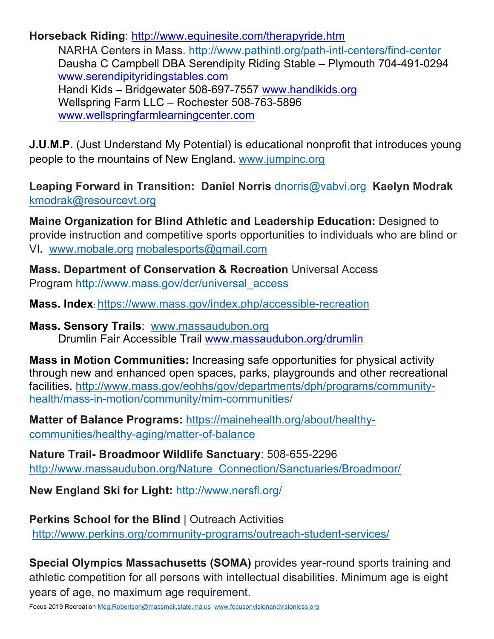**Horseback Riding**: http://www.equinesite.com/therapyride.htm NARHA Centers in Mass. http://www.pathintl.org/path-intl-centers/find-center Dausha C Campbell DBA Serendipity Riding Stable – Plymouth 704-491-0294 www.serendipityridingstables.com Handi Kids – Bridgewater 508-697-7557 www.handikids.org Wellspring Farm LLC – Rochester 508-763-5896 www.wellspringfarmlearningcenter.com

**J.U.M.P.** (Just Understand My Potential) is educational nonprofit that introduces young people to the mountains of New England. www.jumpinc.org

**Leaping Forward in Transition: Daniel Norris** dnorris@vabvi.org **Kaelyn Modrak**  kmodrak@resourcevt.org

**Maine Organization for Blind Athletic and Leadership Education:** Designed to provide instruction and competitive sports opportunities to individuals who are blind or VI**.** www.mobale.org mobalesports@gmail.com

**Mass. Department of Conservation & Recreation** Universal Access Program http://www.mass.gov/dcr/universal\_access

**Mass. Index**: https://www.mass.gov/index.php/accessible-recreation

**Mass. Sensory Trails**: www.massaudubon.org Drumlin Fair Accessible Trail www.massaudubon.org/drumlin

**Mass in Motion Communities:** Increasing safe opportunities for physical activity through new and enhanced open spaces, parks, playgrounds and other recreational facilities. http://www.mass.gov/eohhs/gov/departments/dph/programs/communityhealth/mass-in-motion/community/mim-communities/

**Matter of Balance Programs:** https://mainehealth.org/about/healthycommunities/healthy-aging/matter-of-balance

**Nature Trail- Broadmoor Wildlife Sanctuary**: 508-655-2296 http://www.massaudubon.org/Nature\_Connection/Sanctuaries/Broadmoor/

**New England Ski for Light:** http://www.nersfl.org/

**Perkins School for the Blind** | Outreach Activities http://www.perkins.org/community-programs/outreach-student-services/

**Special Olympics Massachusetts (SOMA)** provides year-round sports training and athletic competition for all persons with intellectual disabilities. Minimum age is eight years of age, no maximum age requirement.

Focus 2019 Recreation Meg.Robertson@massmail.state.ma.us www.focusonvisionandvisionloss.org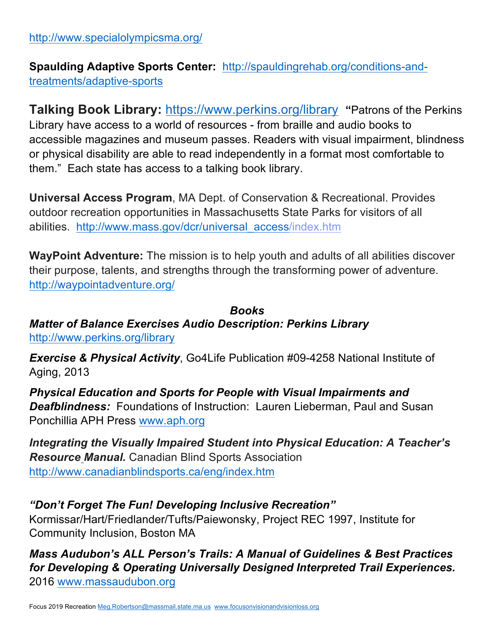**Spaulding Adaptive Sports Center:** http://spauldingrehab.org/conditions-andtreatments/adaptive-sports

**Talking Book Library:** https://www.perkins.org/library **"**Patrons of the Perkins Library have access to a world of resources - from braille and audio books to accessible magazines and museum passes. Readers with visual impairment, blindness or physical disability are able to read independently in a format most comfortable to them." Each state has access to a talking book library.

**Universal Access Program**, MA Dept. of Conservation & Recreational. Provides outdoor recreation opportunities in Massachusetts State Parks for visitors of all abilities. http://www.mass.gov/dcr/universal\_access/index.htm

**WayPoint Adventure:** The mission is to help youth and adults of all abilities discover their purpose, talents, and strengths through the transforming power of adventure. http://waypointadventure.org/

*Books Matter of Balance Exercises Audio Description: Perkins Library*  http://www.perkins.org/library

*Exercise & Physical Activity*, Go4Life Publication #09-4258 National Institute of Aging, 2013

*Physical Education and Sports for People with Visual Impairments and Deafblindness:* Foundations of Instruction: Lauren Lieberman, Paul and Susan Ponchillia APH Press www.aph.org

*Integrating the Visually Impaired Student into Physical Education: A Teacher's Resource Manual.* Canadian Blind Sports Association http://www.canadianblindsports.ca/eng/index.htm

#### *"Don't Forget The Fun! Developing Inclusive Recreation"*

Kormissar/Hart/Friedlander/Tufts/Paiewonsky, Project REC 1997, Institute for Community Inclusion, Boston MA

## *Mass Audubon's ALL Person's Trails: A Manual of Guidelines & Best Practices for Developing & Operating Universally Designed Interpreted Trail Experiences.*  2016 www.massaudubon.org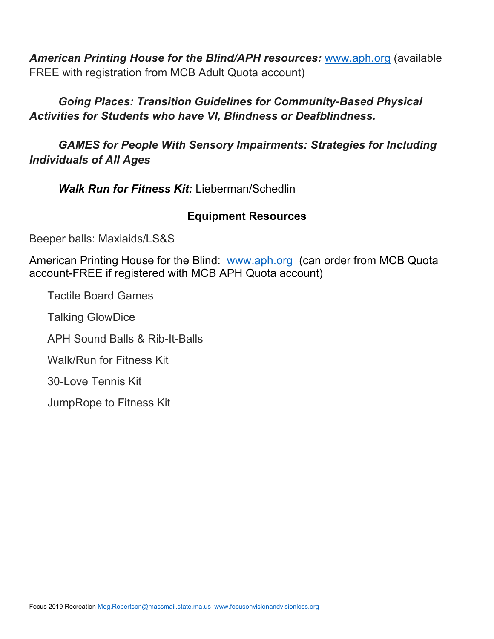*American Printing House for the Blind/APH resources:* www.aph.org (available FREE with registration from MCB Adult Quota account)

*Going Places: Transition Guidelines for Community-Based Physical Activities for Students who have VI, Blindness or Deafblindness.*

*GAMES for People With Sensory Impairments: Strategies for Including Individuals of All Ages*

*Walk Run for Fitness Kit:* Lieberman/Schedlin

#### **Equipment Resources**

Beeper balls: Maxiaids/LS&S

American Printing House for the Blind: www.aph.org (can order from MCB Quota account-FREE if registered with MCB APH Quota account)

Tactile Board Games

Talking GlowDice

APH Sound Balls & Rib-It-Balls

Walk/Run for Fitness Kit

30-Love Tennis Kit

JumpRope to Fitness Kit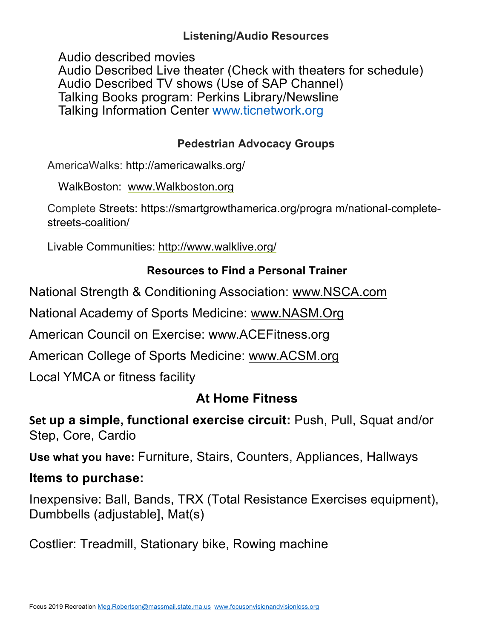## **Listening/Audio Resources**

Audio described movies

Audio Described Live theater (Check with theaters for schedule) Audio Described TV shows (Use of SAP Channel) Talking Books program: Perkins Library/Newsline Talking Information Center www.ticnetwork.org

# **Pedestrian Advocacy Groups**

AmericaWalks: http://americawalks.org/

WalkBoston: www.Walkboston.org

Complete Streets: https://smartgrowthamerica.org/progra m/national-completestreets-coalition/

Livable Communities: http://www.walklive.org/

# **Resources to Find a Personal Trainer**

National Strength & Conditioning Association: www.NSCA.com

National Academy of Sports Medicine: www.NASM.Org

American Council on Exercise: www.ACEFitness.org

American College of Sports Medicine: www.ACSM.org

Local YMCA or fitness facility

# **At Home Fitness**

**Set up a simple, functional exercise circuit: Push, Pull, Squat and/or** Step, Core, Cardio

**Use what you have:** Furniture, Stairs, Counters, Appliances, Hallways

# **Items to purchase:**

Inexpensive: Ball, Bands, TRX (Total Resistance Exercises equipment), Dumbbells (adjustable], Mat(s)

Costlier: Treadmill, Stationary bike, Rowing machine